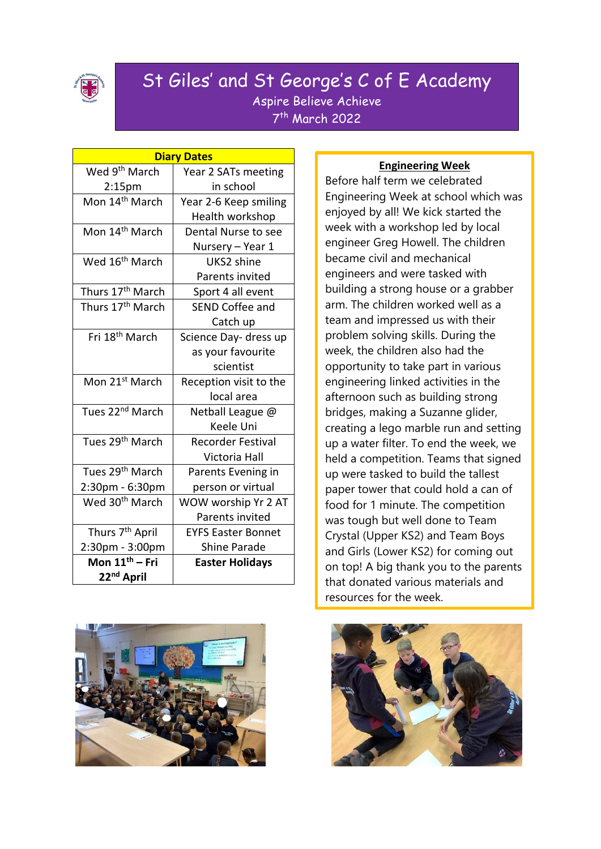

#### St Giles' and St George's C of E Academy Aspire Believe Achieve 7 th March 2022

| <b>Diary Dates</b>           |                           |  |  |
|------------------------------|---------------------------|--|--|
| Wed 9 <sup>th</sup> March    | Year 2 SATs meeting       |  |  |
| 2:15 <sub>pm</sub>           | in school                 |  |  |
| Mon 14 <sup>th</sup> March   | Year 2-6 Keep smiling     |  |  |
|                              | Health workshop           |  |  |
| Mon 14 <sup>th</sup> March   | Dental Nurse to see       |  |  |
|                              | Nursery – Year 1          |  |  |
| Wed 16 <sup>th</sup> March   | UKS2 shine                |  |  |
|                              | Parents invited           |  |  |
| Thurs 17 <sup>th</sup> March | Sport 4 all event         |  |  |
| Thurs 17 <sup>th</sup> March | <b>SEND Coffee and</b>    |  |  |
|                              | Catch up                  |  |  |
| Fri 18 <sup>th</sup> March   | Science Day- dress up     |  |  |
|                              | as your favourite         |  |  |
|                              | scientist                 |  |  |
| Mon 21 <sup>st</sup> March   | Reception visit to the    |  |  |
|                              | local area                |  |  |
| Tues 22 <sup>nd</sup> March  | Netball League @          |  |  |
|                              | Keele Uni                 |  |  |
| Tues 29 <sup>th</sup> March  | <b>Recorder Festival</b>  |  |  |
|                              | Victoria Hall             |  |  |
| Tues 29 <sup>th</sup> March  | Parents Evening in        |  |  |
| 2:30pm - 6:30pm              | person or virtual         |  |  |
| Wed 30 <sup>th</sup> March   | WOW worship Yr 2 AT       |  |  |
|                              | Parents invited           |  |  |
| Thurs 7 <sup>th</sup> April  | <b>EYFS Easter Bonnet</b> |  |  |
| 2:30pm - 3:00pm              | <b>Shine Parade</b>       |  |  |
| Mon 11 <sup>th</sup> – Fri   | <b>Easter Holidays</b>    |  |  |
| 22 <sup>nd</sup> April       |                           |  |  |



#### **Engineering Week**

Before half term we celebrated Engineering Week at school which was enjoyed by all! We kick started the week with a workshop led by local engineer Greg Howell. The children became civil and mechanical engineers and were tasked with building a strong house or a grabber arm. The children worked well as a team and impressed us with their problem solving skills. During the week, the children also had the opportunity to take part in various engineering linked activities in the afternoon such as building strong bridges, making a Suzanne glider, creating a lego marble run and setting up a water filter. To end the week, we held a competition. Teams that signed up were tasked to build the tallest paper tower that could hold a can of food for 1 minute. The competition was tough but well done to Team Crystal (Upper KS2) and Team Boys and Girls (Lower KS2) for coming out on top! A big thank you to the parents that donated various materials and resources for the week.

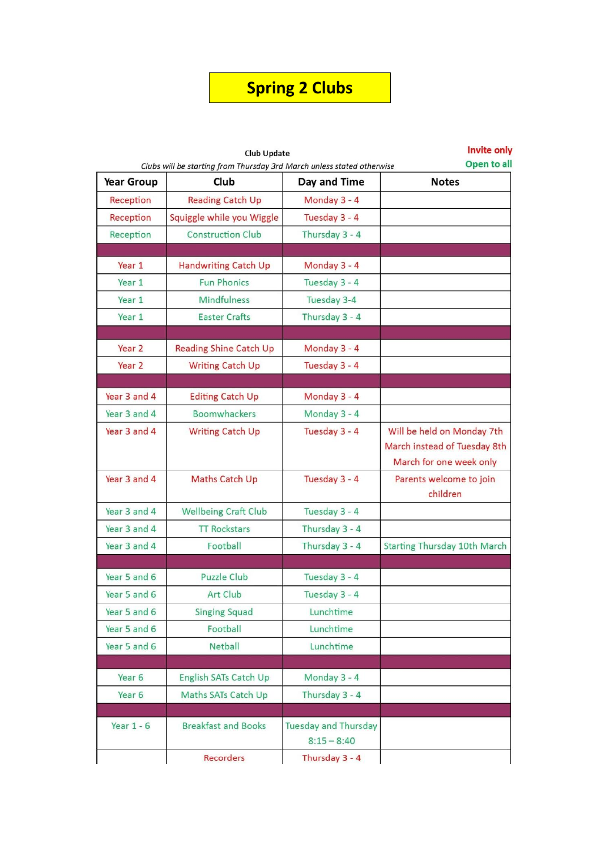### **Spring 2 Clubs**

| <b>Club Update</b><br>Clubs will be starting from Thursday 3rd March unless stated otherwise |                               | <b>Invite only</b><br>Open to all            |                                                                                       |
|----------------------------------------------------------------------------------------------|-------------------------------|----------------------------------------------|---------------------------------------------------------------------------------------|
| <b>Year Group</b>                                                                            | Club                          | Day and Time                                 | <b>Notes</b>                                                                          |
| Reception                                                                                    | <b>Reading Catch Up</b>       | Monday 3 - 4                                 |                                                                                       |
| Reception                                                                                    | Squiggle while you Wiggle     | Tuesday 3 - 4                                |                                                                                       |
| Reception                                                                                    | <b>Construction Club</b>      | Thursday 3 - 4                               |                                                                                       |
|                                                                                              |                               |                                              |                                                                                       |
| Year 1                                                                                       | Handwriting Catch Up          | Monday 3 - 4                                 |                                                                                       |
| Year 1                                                                                       | <b>Fun Phonics</b>            | Tuesday 3 - 4                                |                                                                                       |
| Year 1                                                                                       | Mindfulness                   | Tuesday 3-4                                  |                                                                                       |
| Year 1                                                                                       | <b>Easter Crafts</b>          | Thursday 3 - 4                               |                                                                                       |
| Year 2                                                                                       | <b>Reading Shine Catch Up</b> | Monday 3 - 4                                 |                                                                                       |
| Year <sub>2</sub>                                                                            | <b>Writing Catch Up</b>       | Tuesday 3 - 4                                |                                                                                       |
|                                                                                              |                               |                                              |                                                                                       |
| Year 3 and 4                                                                                 | <b>Editing Catch Up</b>       | Monday 3 - 4                                 |                                                                                       |
| Year 3 and 4                                                                                 | Boomwhackers                  | Monday 3 - 4                                 |                                                                                       |
| Year 3 and 4                                                                                 | <b>Writing Catch Up</b>       | Tuesday 3 - 4                                | Will be held on Monday 7th<br>March instead of Tuesday 8th<br>March for one week only |
| Year 3 and 4                                                                                 | Maths Catch Up                | Tuesday 3 - 4                                | Parents welcome to join<br>children                                                   |
| Year 3 and 4                                                                                 | Wellbeing Craft Club          | Tuesday 3 - 4                                |                                                                                       |
| Year 3 and 4                                                                                 | <b>TT Rockstars</b>           | Thursday 3 - 4                               |                                                                                       |
| Year 3 and 4                                                                                 | Football                      | Thursday 3 - 4                               | <b>Starting Thursday 10th March</b>                                                   |
|                                                                                              |                               |                                              |                                                                                       |
| Year 5 and 6                                                                                 | <b>Puzzle Club</b>            | Tuesday 3 - 4                                |                                                                                       |
| Year 5 and 6                                                                                 | Art Club                      | Tuesday 3 - 4                                |                                                                                       |
| Year 5 and 6                                                                                 | <b>Singing Squad</b>          | Lunchtime                                    |                                                                                       |
| Year 5 and 6                                                                                 | Football                      | Lunchtime                                    |                                                                                       |
| Year 5 and 6                                                                                 | Netball                       | Lunchtime                                    |                                                                                       |
| Year <sub>6</sub>                                                                            | English SATs Catch Up         | Monday 3 - 4                                 |                                                                                       |
| Year 6                                                                                       | Maths SATs Catch Up           | Thursday 3 - 4                               |                                                                                       |
| Year $1 - 6$                                                                                 | <b>Breakfast and Books</b>    | <b>Tuesday and Thursday</b><br>$8:15 - 8:40$ |                                                                                       |
|                                                                                              | Recorders                     | Thursday 3 - 4                               |                                                                                       |